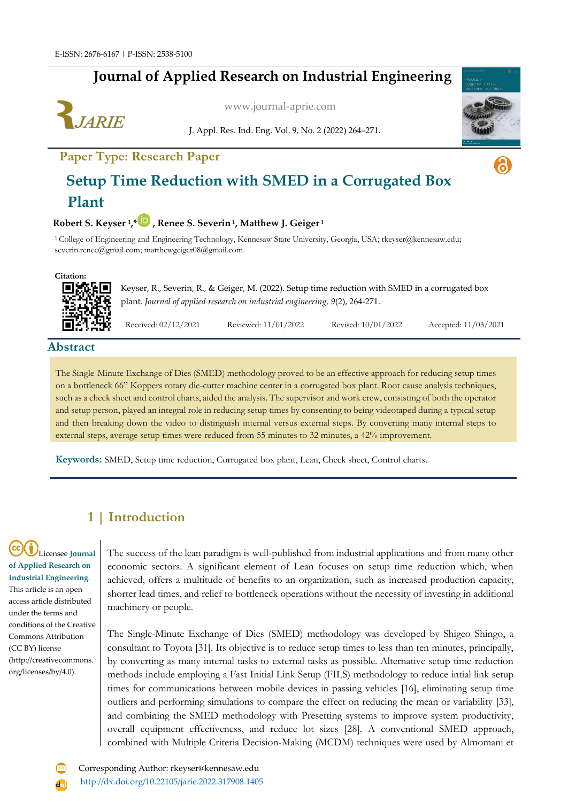## **Journal of Applied Research on Industrial Engineering**



[www.journal-aprie.com](http://www.journal-aprie.com/)

J. Appl. Res. Ind. Eng. Vol. 9, No. 2 (2022) 264–271.





a

# **Setup Time Reduction with SMED in a Corrugated Box Plant**

#### **Robert S. Keyser <sup>1</sup> ,[\\*](https://orcid.org/0000-0003-4126-8954) , Renee S. Severin <sup>1</sup> , Matthew J. Geiger <sup>1</sup>**

<sup>1</sup>College of Engineering and Engineering Technology, Kennesaw State University, Georgia, USA; rkeyser@kennesaw.edu; [severin.renee@gmail.com;](mailto:severin.renee@gmail.com) matthewgeiger08@gmail.com.



Keyser, R., Severin, R., & Geiger, M. (2022). Setup time reduction with SMED in a corrugated box plant. *Journal of applied research on industrial engineering, 9*(2), 264-271.

Received: 02/12/2021 Reviewed: 11/01/2022 Revised: 10/01/2022 Accepted: 11/03/2021

**Abstract**

The Single-Minute Exchange of Dies (SMED) methodology proved to be an effective approach for reducing setup times on a bottleneck 66" Koppers rotary die-cutter machine center in a corrugated box plant. Root cause analysis techniques, such as a check sheet and control charts, aided the analysis. The supervisor and work crew, consisting of both the operator and setup person, played an integral role in reducing setup times by consenting to being videotaped during a typical setup and then breaking down the video to distinguish internal versus external steps. By converting many internal steps to external steps, average setup times were reduced from 55 minutes to 32 minutes, a 42% improvement.

**Keywords:** SMED, Setup time reduction, Corrugated box plant, Lean, Check sheet, Control charts.

### **1 | Introduction**

Licensee **Journal of Applied Research on Industrial Engineering**. This article is an open access article distributed under the terms and conditions of the Creative Commons Attribution (CC BY) license (http://creativecommons. org/licenses/by/4.0).

The success of the lean paradigm is well-published from industrial applications and from many other economic sectors. A significant element of Lean focuses on setup time reduction which, when achieved, offers a multitude of benefits to an organization, such as increased production capacity, shorter lead times, and relief to bottleneck operations without the necessity of investing in additional machinery or people.

The Single-Minute Exchange of Dies (SMED) methodology was developed by Shigeo Shingo, a consultant to Toyota [31]. Its objective is to reduce setup times to less than ten minutes, principally, by converting as many internal tasks to external tasks as possible. Alternative setup time reduction methods include employing a Fast Initial Link Setup (FILS) methodology to reduce intial link setup times for communications between mobile devices in passing vehicles [16], eliminating setup time outliers and performing simulations to compare the effect on reducing the mean or variability [33], and combining the SMED methodology with Presetting systems to improve system productivity, overall equipment effectiveness, and reduce lot sizes [28]. A conventional SMED approach, combined with Multiple Criteria Decision-Making (MCDM) techniques were used by Almomani et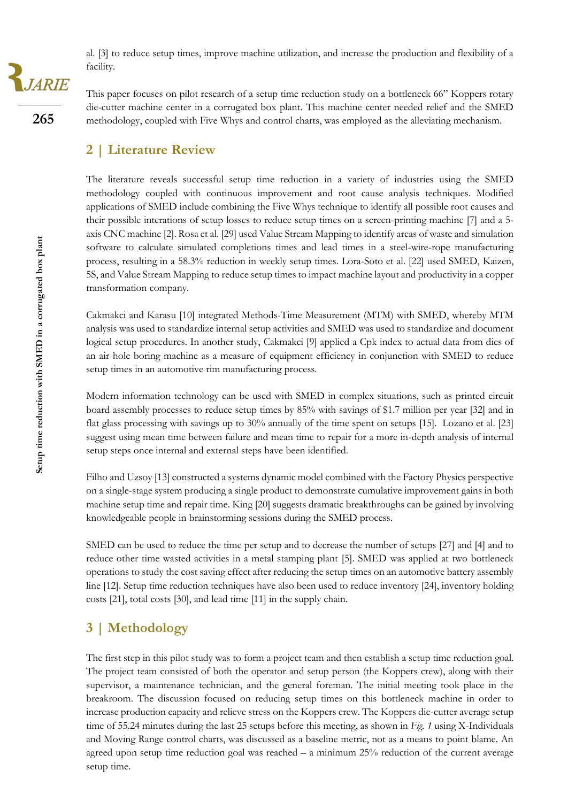al. [3] to reduce setup times, improve machine utilization, and increase the production and flexibility of a facility.

This paper focuses on pilot research of a setup time reduction study on a bottleneck 66" Koppers rotary die-cutter machine center in a corrugated box plant. This machine center needed relief and the SMED methodology, coupled with Five Whys and control charts, was employed as the alleviating mechanism.

### **2 | Literature Review**

The literature reveals successful setup time reduction in a variety of industries using the SMED methodology coupled with continuous improvement and root cause analysis techniques. Modified applications of SMED include combining the Five Whys technique to identify all possible root causes and their possible interations of setup losses to reduce setup times on a screen-printing machine [7] and a 5 axis CNC machine [2]. Rosa et al. [29] used Value Stream Mapping to identify areas of waste and simulation software to calculate simulated completions times and lead times in a steel-wire-rope manufacturing process, resulting in a 58.3% reduction in weekly setup times. Lora-Soto et al. [22] used SMED, Kaizen, 5S, and Value Stream Mapping to reduce setup times to impact machine layout and productivity in a copper transformation company.

Cakmakci and Karasu [10] integrated Methods-Time Measurement (MTM) with SMED, whereby MTM analysis was used to standardize internal setup activities and SMED was used to standardize and document logical setup procedures. In another study, Cakmakci [9] applied a Cpk index to actual data from dies of an air hole boring machine as a measure of equipment efficiency in conjunction with SMED to reduce setup times in an automotive rim manufacturing process.

Modern information technology can be used with SMED in complex situations, such as printed circuit board assembly processes to reduce setup times by 85% with savings of \$1.7 million per year [32] and in flat glass processing with savings up to 30% annually of the time spent on setups [15]. Lozano et al. [23] suggest using mean time between failure and mean time to repair for a more in-depth analysis of internal setup steps once internal and external steps have been identified.

Filho and Uzsoy [13] constructed a systems dynamic model combined with the Factory Physics perspective on a single-stage system producing a single product to demonstrate cumulative improvement gains in both machine setup time and repair time. King [20] suggests dramatic breakthroughs can be gained by involving knowledgeable people in brainstorming sessions during the SMED process.

SMED can be used to reduce the time per setup and to decrease the number of setups [27] and [4] and to reduce other time wasted activities in a metal stamping plant [5]. SMED was applied at two bottleneck operations to study the cost saving effect after reducing the setup times on an automotive battery assembly line [12]. Setup time reduction techniques have also been used to reduce inventory [24], inventory holding costs [21], total costs [30], and lead time [11] in the supply chain.

### **3 | Methodology**

The first step in this pilot study was to form a project team and then establish a setup time reduction goal. The project team consisted of both the operator and setup person (the Koppers crew), along with their supervisor, a maintenance technician, and the general foreman. The initial meeting took place in the breakroom. The discussion focused on reducing setup times on this bottleneck machine in order to increase production capacity and relieve stress on the Koppers crew. The Koppers die-cutter average setup time of 55.24 minutes during the last 25 setups before this meeting, as shown in *Fig. 1* using X-Individuals and Moving Range control charts, was discussed as a baseline metric, not as a means to point blame. An agreed upon setup time reduction goal was reached – a minimum 25% reduction of the current average setup time.

**265**

JARIE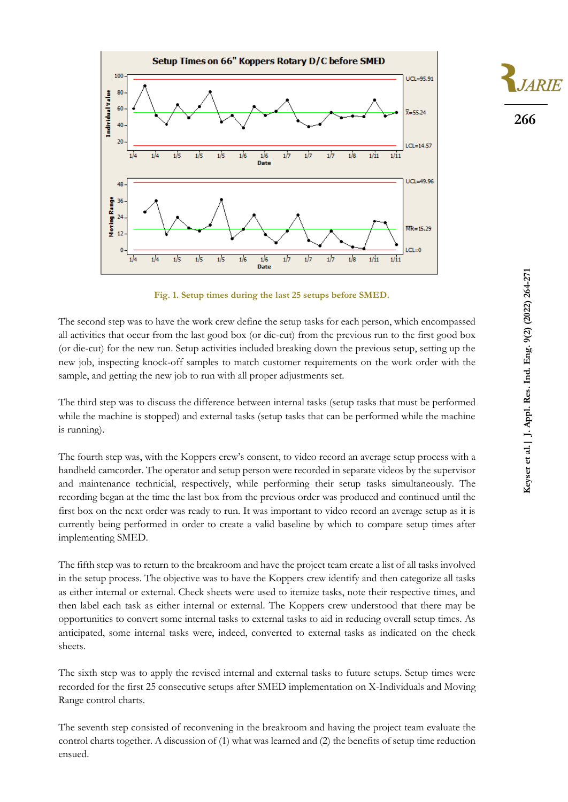



**Fig. 1. Setup times during the last 25 setups before SMED.**

The second step was to have the work crew define the setup tasks for each person, which encompassed all activities that occur from the last good box (or die-cut) from the previous run to the first good box (or die-cut) for the new run. Setup activities included breaking down the previous setup, setting up the new job, inspecting knock-off samples to match customer requirements on the work order with the sample, and getting the new job to run with all proper adjustments set.

The third step was to discuss the difference between internal tasks (setup tasks that must be performed while the machine is stopped) and external tasks (setup tasks that can be performed while the machine is running).

The fourth step was, with the Koppers crew's consent, to video record an average setup process with a handheld camcorder. The operator and setup person were recorded in separate videos by the supervisor and maintenance technicial, respectively, while performing their setup tasks simultaneously. The recording began at the time the last box from the previous order was produced and continued until the first box on the next order was ready to run. It was important to video record an average setup as it is currently being performed in order to create a valid baseline by which to compare setup times after implementing SMED.

The fifth step was to return to the breakroom and have the project team create a list of all tasks involved in the setup process. The objective was to have the Koppers crew identify and then categorize all tasks as either internal or external. Check sheets were used to itemize tasks, note their respective times, and then label each task as either internal or external. The Koppers crew understood that there may be opportunities to convert some internal tasks to external tasks to aid in reducing overall setup times. As anticipated, some internal tasks were, indeed, converted to external tasks as indicated on the check sheets.

The sixth step was to apply the revised internal and external tasks to future setups. Setup times were recorded for the first 25 consecutive setups after SMED implementation on X-Individuals and Moving Range control charts.

The seventh step consisted of reconvening in the breakroom and having the project team evaluate the control charts together. A discussion of (1) what was learned and (2) the benefits of setup time reduction ensued.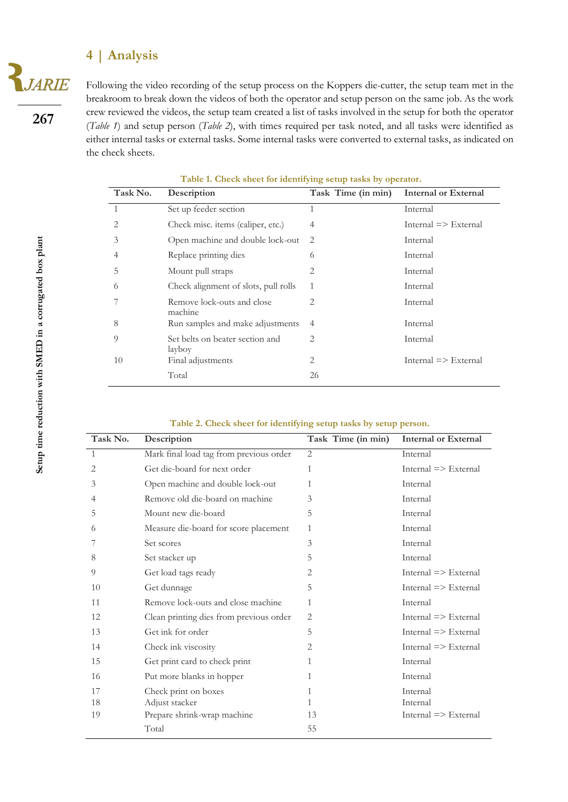### **4 | Analysis**

**JARIE** 

Following the video recording of the setup process on the Koppers die-cutter, the setup team met in the breakroom to break down the videos of both the operator and setup person on the same job. As the work crew reviewed the videos, the setup team created a list of tasks involved in the setup for both the operator (*Table 1*) and setup person (*Table 2*), with times required per task noted, and all tasks were identified as either internal tasks or external tasks. Some internal tasks were converted to external tasks, as indicated on the check sheets.

| Task No.     | Description                               | Task Time (in min) | <b>Internal or External</b>  |
|--------------|-------------------------------------------|--------------------|------------------------------|
| $\mathbf{1}$ | Set up feeder section                     | 1                  | Internal                     |
| 2            | Check misc. items (caliper, etc.)         | $\overline{4}$     | $Internal \implies External$ |
| 3            | Open machine and double lock-out          | 2                  | Internal                     |
| 4            | Replace printing dies                     | 6                  | Internal                     |
| 5            | Mount pull straps                         | 2                  | Internal                     |
| 6            | Check alignment of slots, pull rolls      | 1                  | Internal                     |
|              | Remove lock-outs and close<br>machine     | 2                  | Internal                     |
| 8            | Run samples and make adjustments          | 4                  | Internal                     |
| $\Omega$     | Set belts on beater section and<br>layboy | 2                  | Internal                     |
| 10           | Final adjustments                         | 2                  | $Internal \implies External$ |
|              | Total                                     | 26                 |                              |

**Table 1. Check sheet for identifying setup tasks by operator.**

| Table 2. Check sheet for identifying setup tasks by setup person. |  |  |  |  |
|-------------------------------------------------------------------|--|--|--|--|
|-------------------------------------------------------------------|--|--|--|--|

| Task No.       | Description                             | Task Time (in min) | <b>Internal or External</b>  |
|----------------|-----------------------------------------|--------------------|------------------------------|
| $\overline{1}$ | Mark final load tag from previous order | 2                  | Internal                     |
| 2              | Get die-board for next order            | 1                  | $Internal \implies External$ |
| 3              | Open machine and double lock-out        | 1                  | Internal                     |
| 4              | Remove old die-board on machine         | 3                  | Internal                     |
| 5              | Mount new die-board                     | 5                  | Internal                     |
| 6              | Measure die-board for score placement   | 1                  | Internal                     |
|                | Set scores                              | 3                  | Internal                     |
| 8              | Set stacker up                          | 5                  | Internal                     |
| 9              | Get load tags ready                     | 2                  | $Internal \implies External$ |
| 10             | Get dunnage                             | 5                  | $Internal \implies External$ |
| 11             | Remove lock-outs and close machine      | 1                  | Internal                     |
| 12             | Clean printing dies from previous order | 2                  | $Internal \implies External$ |
| 13             | Get ink for order                       | 5                  | $Internal \implies External$ |
| 14             | Check ink viscosity                     | 2                  | $Internal \implies External$ |
| 15             | Get print card to check print           | 1                  | Internal                     |
| 16             | Put more blanks in hopper               | 1                  | Internal                     |
| 17             | Check print on boxes                    | 1                  | Internal                     |
| 18             | Adjust stacker                          | 1                  | Internal                     |
| 19             | Prepare shrink-wrap machine             | 13                 | $Internal \implies$ External |
|                | Total                                   | 55                 |                              |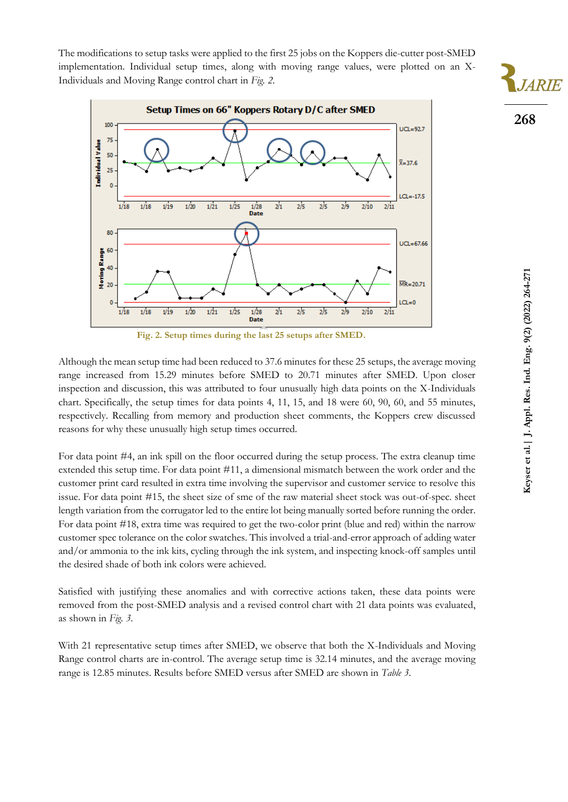The modifications to setup tasks were applied to the first 25 jobs on the Koppers die-cutter post-SMED implementation. Individual setup times, along with moving range values, were plotted on an X-Individuals and Moving Range control chart in *Fig. 2*.



**Fig. 2. Setup times during the last 25 setups after SMED.**

Although the mean setup time had been reduced to 37.6 minutes for these 25 setups, the average moving range increased from 15.29 minutes before SMED to 20.71 minutes after SMED. Upon closer inspection and discussion, this was attributed to four unusually high data points on the X-Individuals chart. Specifically, the setup times for data points 4, 11, 15, and 18 were 60, 90, 60, and 55 minutes, respectively. Recalling from memory and production sheet comments, the Koppers crew discussed reasons for why these unusually high setup times occurred.

For data point #4, an ink spill on the floor occurred during the setup process. The extra cleanup time extended this setup time. For data point #11, a dimensional mismatch between the work order and the customer print card resulted in extra time involving the supervisor and customer service to resolve this issue. For data point #15, the sheet size of sme of the raw material sheet stock was out-of-spec. sheet length variation from the corrugator led to the entire lot being manually sorted before running the order. For data point #18, extra time was required to get the two-color print (blue and red) within the narrow customer spec tolerance on the color swatches. This involved a trial-and-error approach of adding water and/or ammonia to the ink kits, cycling through the ink system, and inspecting knock-off samples until the desired shade of both ink colors were achieved.

Satisfied with justifying these anomalies and with corrective actions taken, these data points were removed from the post-SMED analysis and a revised control chart with 21 data points was evaluated, as shown in *Fig. 3*.

With 21 representative setup times after SMED, we observe that both the X-Individuals and Moving Range control charts are in-control. The average setup time is 32.14 minutes, and the average moving range is 12.85 minutes. Results before SMED versus after SMED are shown in *Table 3*.

**268**

**JARIE**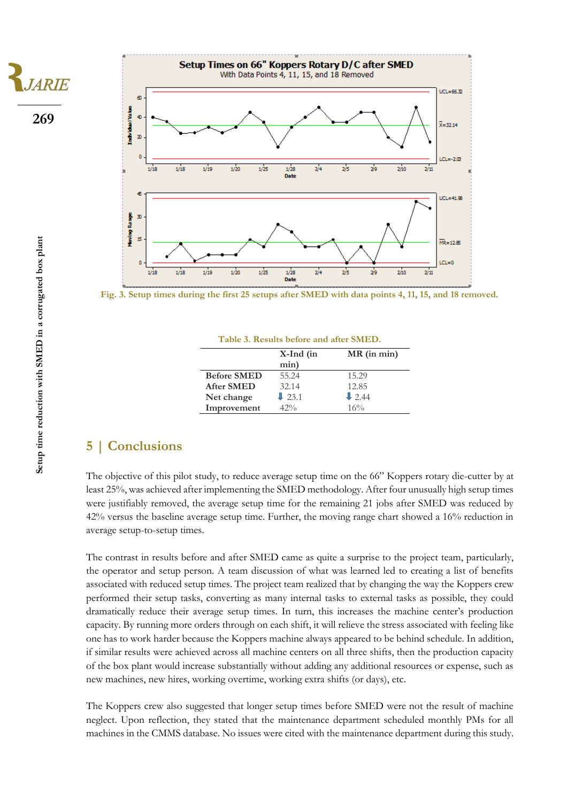**269**

**JARIE** 



**Fig. 3. Setup times during the first 25 setups after SMED with data points 4, 11, 15, and 18 removed.**

| Table 3. Results before and after SMED. |                   |                   |  |  |
|-----------------------------------------|-------------------|-------------------|--|--|
|                                         | $X$ -Ind (in      | $MR$ (in min)     |  |  |
|                                         | min)              |                   |  |  |
| <b>Before SMED</b>                      | 55.24             | 15.29             |  |  |
| <b>After SMED</b>                       | 32.14             | 12.85             |  |  |
| Net change                              | $\downarrow$ 23.1 | $\downarrow$ 2.44 |  |  |
| Improvement                             | $42\%$            | 16%               |  |  |

### **5 | Conclusions**

The objective of this pilot study, to reduce average setup time on the 66" Koppers rotary die-cutter by at least 25%, was achieved after implementing the SMED methodology. After four unusually high setup times were justifiably removed, the average setup time for the remaining 21 jobs after SMED was reduced by 42% versus the baseline average setup time. Further, the moving range chart showed a 16% reduction in average setup-to-setup times.

The contrast in results before and after SMED came as quite a surprise to the project team, particularly, the operator and setup person. A team discussion of what was learned led to creating a list of benefits associated with reduced setup times. The project team realized that by changing the way the Koppers crew performed their setup tasks, converting as many internal tasks to external tasks as possible, they could dramatically reduce their average setup times. In turn, this increases the machine center's production capacity. By running more orders through on each shift, it will relieve the stress associated with feeling like one has to work harder because the Koppers machine always appeared to be behind schedule. In addition, if similar results were achieved across all machine centers on all three shifts, then the production capacity of the box plant would increase substantially without adding any additional resources or expense, such as new machines, new hires, working overtime, working extra shifts (or days), etc.

The Koppers crew also suggested that longer setup times before SMED were not the result of machine neglect. Upon reflection, they stated that the maintenance department scheduled monthly PMs for all machines in the CMMS database. No issues were cited with the maintenance department during this study.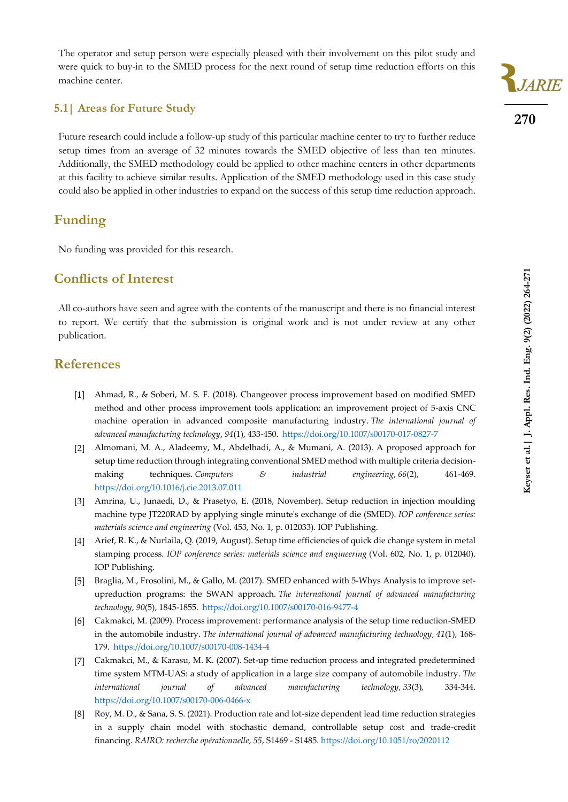The operator and setup person were especially pleased with their involvement on this pilot study and were quick to buy-in to the SMED process for the next round of setup time reduction efforts on this machine center.

#### **5.1| Areas for Future Study**

Future research could include a follow-up study of this particular machine center to try to further reduce setup times from an average of 32 minutes towards the SMED objective of less than ten minutes. Additionally, the SMED methodology could be applied to other machine centers in other departments at this facility to achieve similar results. Application of the SMED methodology used in this case study could also be applied in other industries to expand on the success of this setup time reduction approach.

#### **Funding**

No funding was provided for this research.

### **Conflicts of Interest**

All co-authors have seen and agree with the contents of the manuscript and there is no financial interest to report. We certify that the submission is original work and is not under review at any other publication.

### **References**

- Ahmad, R., & Soberi, M. S. F. (2018). Changeover process improvement based on modified SMED method and other process improvement tools application: an improvement project of 5-axis CNC machine operation in advanced composite manufacturing industry. *The international journal of advanced manufacturing technology*, *94*(1), 433-450. <https://doi.org/10.1007/s00170-017-0827-7>
- Almomani, M. A., Aladeemy, M., Abdelhadi, A., & Mumani, A. (2013). A proposed approach for setup time reduction through integrating conventional SMED method with multiple criteria decisionmaking techniques. *Computers & industrial engineering*, 66(2), 461-469. <https://doi.org/10.1016/j.cie.2013.07.011>
- Amrina, U., Junaedi, D., & Prasetyo, E. (2018, November). Setup reduction in injection moulding machine type JT220RAD by applying single minute's exchange of die (SMED). *IOP conference series: materials science and engineering* (Vol. 453, No. 1, p. 012033). IOP Publishing.
- Arief, R. K., & Nurlaila, Q. (2019, August). Setup time efficiencies of quick die change system in metal stamping process. *IOP conference series: materials science and engineering* (Vol. 602, No. 1, p. 012040). IOP Publishing.
- Braglia, M., Frosolini, M., & Gallo, M. (2017). SMED enhanced with 5-Whys Analysis to improve setupreduction programs: the SWAN approach. *The international journal of advanced manufacturing technology*, *90*(5), 1845-1855. <https://doi.org/10.1007/s00170-016-9477-4>
- Cakmakci, M. (2009). Process improvement: performance analysis of the setup time reduction-SMED in the automobile industry. *The international journal of advanced manufacturing technology*, *41*(1), 168- 179. <https://doi.org/10.1007/s00170-008-1434-4>
- Cakmakci, M., & Karasu, M. K. (2007). Set-up time reduction process and integrated predetermined time system MTM-UAS: a study of application in a large size company of automobile industry. *The international journal of advanced manufacturing technology*, *33*(3), 334-344. <https://doi.org/10.1007/s00170-006-0466-x>
- Roy, M. D., & Sana, S. S. (2021). Production rate and lot-size dependent lead time reduction strategies in a supply chain model with stochastic demand, controllable setup cost and trade-credit financing. *RAIRO: recherche opérationnelle*, *55*, S1469 - S1485. <https://doi.org/10.1051/ro/2020112>